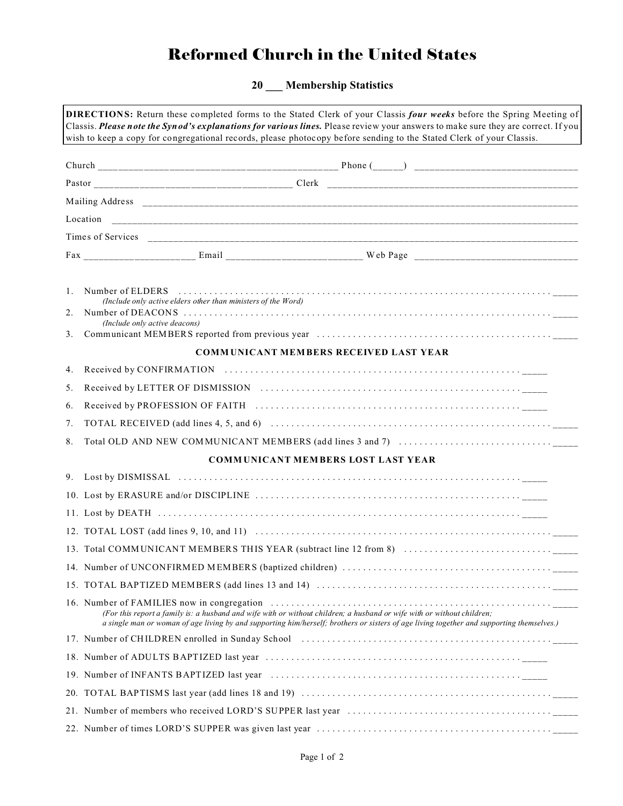# Reformed Church in the United States

**20 \_\_\_ Membership Statistics**

| <b>DIRECTIONS:</b> Return these completed forms to the Stated Clerk of your Classis four weeks before the Spring Meeting of<br>Classis. Please note the Synod's explanations for various lines. Please review your answers to make sure they are correct. If you |                                                                                                                                                                                                                                                                     |  |  |  |  |
|------------------------------------------------------------------------------------------------------------------------------------------------------------------------------------------------------------------------------------------------------------------|---------------------------------------------------------------------------------------------------------------------------------------------------------------------------------------------------------------------------------------------------------------------|--|--|--|--|
|                                                                                                                                                                                                                                                                  | wish to keep a copy for congregational records, please photocopy before sending to the Stated Clerk of your Classis.                                                                                                                                                |  |  |  |  |
|                                                                                                                                                                                                                                                                  |                                                                                                                                                                                                                                                                     |  |  |  |  |
|                                                                                                                                                                                                                                                                  |                                                                                                                                                                                                                                                                     |  |  |  |  |
|                                                                                                                                                                                                                                                                  |                                                                                                                                                                                                                                                                     |  |  |  |  |
|                                                                                                                                                                                                                                                                  |                                                                                                                                                                                                                                                                     |  |  |  |  |
|                                                                                                                                                                                                                                                                  |                                                                                                                                                                                                                                                                     |  |  |  |  |
|                                                                                                                                                                                                                                                                  |                                                                                                                                                                                                                                                                     |  |  |  |  |
| $\mathbf{1}$ .<br>2.<br>3.                                                                                                                                                                                                                                       | Number of ELDERS<br>(Include only active elders other than ministers of the Word)<br>(Include only active deacons)                                                                                                                                                  |  |  |  |  |
|                                                                                                                                                                                                                                                                  | <b>COMMUNICANT MEMBERS RECEIVED LAST YEAR</b>                                                                                                                                                                                                                       |  |  |  |  |
| 4.                                                                                                                                                                                                                                                               |                                                                                                                                                                                                                                                                     |  |  |  |  |
| 5.                                                                                                                                                                                                                                                               | Received by LETTER OF DISMISSION (and the contract of the contract of the contract of the contract of the contract of the contract of the contract of the contract of the contract of the contract of the contract of the cont                                      |  |  |  |  |
| 6.                                                                                                                                                                                                                                                               | Received by PROFESSION OF FAITH (and the contract of the contract of the contract of the contract of the contract of the contract of the contract of the contract of the contract of the contract of the contract of the contr                                      |  |  |  |  |
| 7.                                                                                                                                                                                                                                                               |                                                                                                                                                                                                                                                                     |  |  |  |  |
| 8.                                                                                                                                                                                                                                                               |                                                                                                                                                                                                                                                                     |  |  |  |  |
|                                                                                                                                                                                                                                                                  | <b>COMMUNICANT MEMBERS LOST LAST YEAR</b>                                                                                                                                                                                                                           |  |  |  |  |
|                                                                                                                                                                                                                                                                  |                                                                                                                                                                                                                                                                     |  |  |  |  |
|                                                                                                                                                                                                                                                                  |                                                                                                                                                                                                                                                                     |  |  |  |  |
|                                                                                                                                                                                                                                                                  |                                                                                                                                                                                                                                                                     |  |  |  |  |
|                                                                                                                                                                                                                                                                  |                                                                                                                                                                                                                                                                     |  |  |  |  |
|                                                                                                                                                                                                                                                                  |                                                                                                                                                                                                                                                                     |  |  |  |  |
|                                                                                                                                                                                                                                                                  |                                                                                                                                                                                                                                                                     |  |  |  |  |
|                                                                                                                                                                                                                                                                  |                                                                                                                                                                                                                                                                     |  |  |  |  |
|                                                                                                                                                                                                                                                                  | (For this report a family is: a husband and wife with or without children; a husband or wife with or without children;<br>a single man or woman of age living by and supporting him/herself; brothers or sisters of age living together and supporting themselves.) |  |  |  |  |
|                                                                                                                                                                                                                                                                  | 17. Number of CHILDREN enrolled in Sunday School (and the context of the context of CHILDREN enrolled in Sunday School) (context of the context of the context of the context of the context of the context of the context of                                       |  |  |  |  |
|                                                                                                                                                                                                                                                                  |                                                                                                                                                                                                                                                                     |  |  |  |  |
|                                                                                                                                                                                                                                                                  |                                                                                                                                                                                                                                                                     |  |  |  |  |
|                                                                                                                                                                                                                                                                  |                                                                                                                                                                                                                                                                     |  |  |  |  |
|                                                                                                                                                                                                                                                                  |                                                                                                                                                                                                                                                                     |  |  |  |  |
|                                                                                                                                                                                                                                                                  |                                                                                                                                                                                                                                                                     |  |  |  |  |